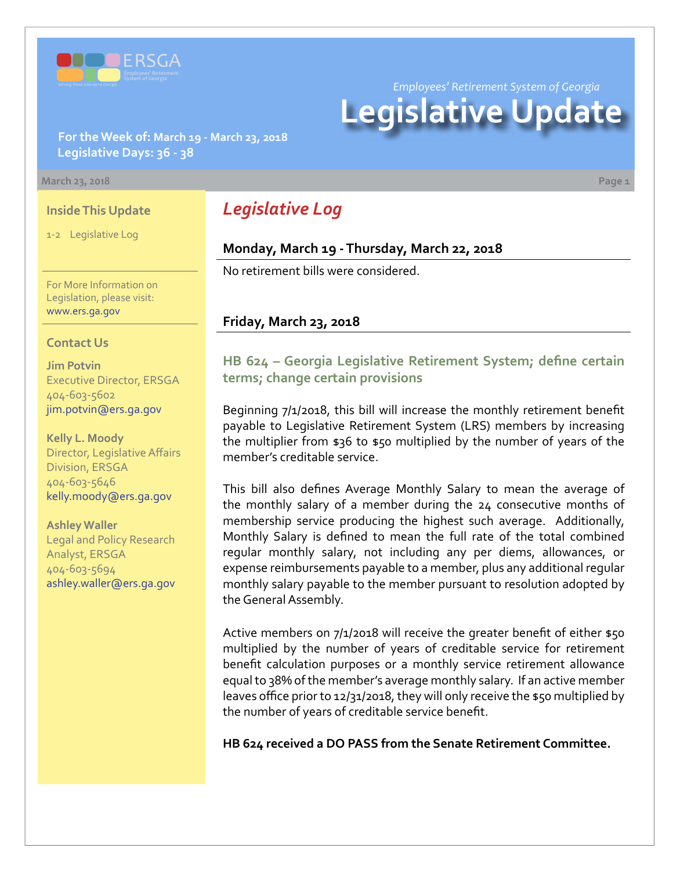

*Employees' Retirement System of Georgia*

# **Legislative Update**

**For the Week of: March 19 - March 23, 2018 Legislative Days: 36 - 38**

#### **March 23, 2018 Page 1**

#### **Inside This Update**

1-2 Legislative Log

For More Information on Legislation, please visit: [www.ers.ga.gov](http://www.ers.ga.gov/)

#### **Contact Us**

**Jim Potvin** Executive Director, ERSGA 404-603-5602 jim.potvin@ers.ga.gov

**Kelly L. Moody** Director, Legislative Affairs Division, ERSGA 404-603-5646 kelly.moody@ers.ga.gov

**Ashley Waller** Legal and Policy Research Analyst, ERSGA 404-603-5694 ashley.waller@ers.ga.gov

# *Legislative Log*

#### **Monday, March 19 - Thursday, March 22, 2018**

No retirement bills were considered.

### **Friday, March 23, 2018**

## **HB 62[4 – G](http://www.legis.ga.gov/legislation/en-US/Display/20172018/HB/624)eorgia Legislative Retirement System; define certain terms; change certain provisions**

Beginning 7/1/2018, this bill will increase the monthly retirement benefit payable to Legislative Retirement System (LRS) members by increasing the multiplier from \$36 to \$50 multiplied by the number of years of the member's creditable service.

This bill also defines Average Monthly Salary to mean the average of the monthly salary of a member during the 24 consecutive months of membership service producing the highest such average. Additionally, Monthly Salary is defined to mean the full rate of the total combined regular monthly salary, not including any per diems, allowances, or expense reimbursements payable to a member, plus any additional regular monthly salary payable to the member pursuant to resolution adopted by the General Assembly.

Active members on 7/1/2018 will receive the greater benefit of either \$50 multiplied by the number of years of creditable service for retirement benefit calculation purposes or a monthly service retirement allowance equal to 38% of the member's average monthly salary. If an active member leaves office prior to 12/31/2018, they will only receive the \$50 multiplied by the number of years of creditable service benefit.

**HB 624 received a DO PASS from the Senate Retirement Committee.**